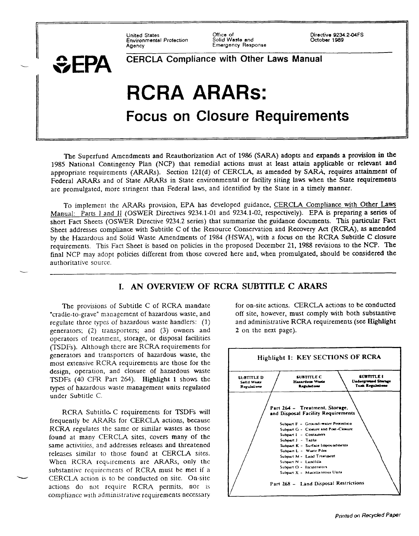Environmental Protect/on Solid Waste and *030ber* **1989** 

-

-

Emergency Response

United Slates Office of Directive 9234.244FS

# **CERCLA Compliance with Other Laws Manual** RCRA ARARs: Focus on Closure Requirements

The Superfund Amendments and Reauthorization Aet of 1986 (SARA) adopts and expands a provision in the 1985 National Contingency Plan (NCP) that remedial actions musl at least attain applicable or relevant and appropriate requirements (ARARs). Section 121(d) of CERCLA, as amended by SARA, requires attainment of Federal ARARs and of State ARARs in State environmental or facility siting laws when the State requirements are promulgated, more stringent than Federal laws, and identified by the State in a timely manner.

To implement the ARARs provision, EPA has developed guidance, CERCLA Compliance with Other Laws Manual: Parts 1 and II (OSWER Directives 9234.1-01 and 9234.1-02, respectively). EPA is preparing a series of short Fact Sheets (OSWER Directive 9234.2 series) that summarize the guidance documents. This particular Fact Sheet addresses compliance with Subtitle C of the Resource Conservation and Recovery Act (RCRA), as amended by the Hazardous and Solid Waste Amendments of 1984 (HSWA), with a focus on the RCRA Subtitle C closure requirements. This Fact Sheet is based on policies in the proposed December 21, 1988 revisions to the NCP. The final NCP may adopt policies different from those covered here and, when promulgated, should be considered the authoritative source.

# I. AN OVERVIEW OF RCRA SUBTITLE C ARARS

The provisions of Subtitle C of RCRA mandate "cradle-to-grave" management of hazardous wasfe, and regulate three types of hazardous waste handlers:  $(1)$ generators; (2) transporters; and (3) owners and operators of treatment, storage, or disposal facilities (TSDFS). Although there are RCRA requirements for generators and transporters of hazardous waste, the most extensive RCRA requirements are those for the design, operation, and closure of hazardous waste TSDFS (40 CFR Part 264). Highlight 1 shows the types of hazardous waste management units regulated under Subtitle C.

RCRA Subtitle. C requirements for TSDFs will frequently be ARARs for CERCLA actions, because RCRA regulates the same or similar wastes as those found at many CERCLA sites, covers many of the same activities, and addresses releases and threatened releases similar to those found at CERCLA sites. When RCRA requirements are ARARs, only the substantive requirements of RCRA must be met if a CERCLA action is to be conducted on site. On-site actions do not require RCRA permits, nor is compliance with administrative requirements necessary

for on-site actions. CERCLA actions to be conducted off site, however, must comply with both substantive and administrative RCRA requirements (see Highlight 2 on the next page).

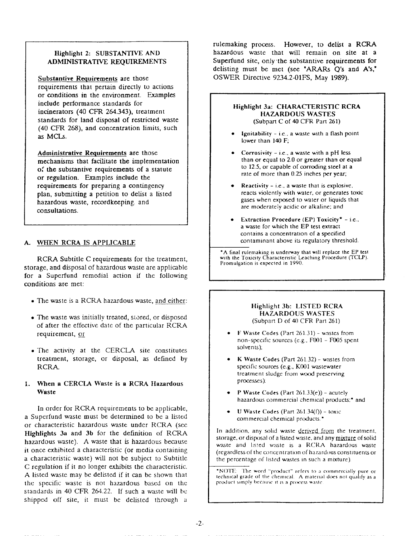#### **Highlight 2: SUBSTANTIVE** ANI) ADMINISTRATIVE REQUIREMENTS

**Substantive Requirements are** those requirements that pertain directly to actions or conditions in the environment. Examples include performance standards for incinerators (40 CFR 264.343), treatmen standards for land disposal of restricted waste (40 CFR 268), and concentration limits, such as MCLs

**Administrative Requirements** are those mechanisms that facilitate the implementation of the substantive requirements of a statute or regulation. Examples include the requirements for preparing a contingenc plan, submitting a petition to delist a listed hazardous waste, recordkeeping. and consultations

#### A WHEN RCRA IS APPLICABLE

RCRA Subtitle C requirements for the treatment, storage, and disposal of hazardous waste are applicable for a Superfund remedial action if the following conditions are met:

- . The waste is a RCRA hazardous waste, and either:
- The waste was initially treated, stored, or disposed of after the effective date of the particular RCRA requirement, or
- The activity at the CERCLA site constitutes treatment, storage, or disposal, as defined by RCRA-

#### 1. When a CERCLA Waste is a RCRA Hazardous **Waste**

In order for RCRA requirements to be applicable, a Superfund waste must be determined to be a listed or characteristic hazardous waste under RCRA (see Highlights 3a and 3b for the definition of RCRA hazardous waste). A waste that is hazardous because it once exhibited a characteristic (or media containing a characteristic waste) will not be subject to Subtitle C regulation if it no longer exhibits the characteristic. A listed waste may be delisted if it can be shown that the specific waste is not hazardous based on the standards in 40 CFR 264.22. If such a waste will be shipped off site, it must be delisted through a

rulemaking process. However, to delist a RCRA hazardous waste that will remain on site at a Superfund site, only the substantive requirements for delisting must be met (see "ARARs  $Q$ 's and  $A$ 's," OSWER Directive 9234.2-01FS, May 1989).



#### Highlight 3b: LISTED RCRA HAZARDOUS WASTES (Subpan f) of 40 CFR Part 261)

- **aste Codes (Part 261.31) wastes from** non-specific sources (e.g., F001 - F005 spent solvents);
- K Waste Codes (Part 261.32) wastes from specific sources (e.g., K001 wastewater treatment sludge from wood preserving processes);
- **P Waste Codes (Part 261.33(e))** acutely hazardous commercial chemical products;<sup>\*</sup> and
- **U** Waste Codes (Part  $261.34(f)$ ) toxic commercial chemical products.<sup>\*</sup>

In addition, any solid waste derived from the treatment, storage, or disposal of a listed waste, and any mixture of solid waste and listed waste is a RCRA hazardous waste (regardless of the concentration of hazardous constituents or the percentage of listed wastes in such a mixture).

\*NOTE: The word "product" refers to a commercially pure or technical grade of the chemical. A material does not qualify as a product simply because it is a process waste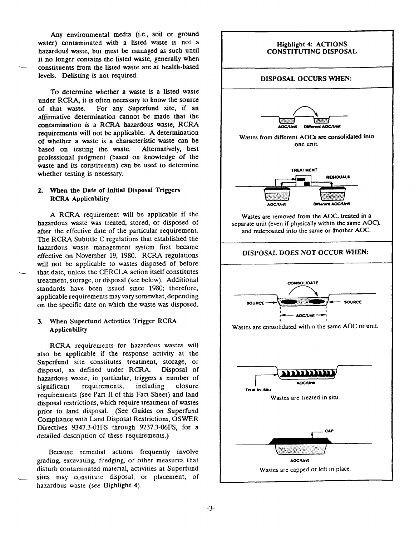Any environmental media (i.e., soil or ground water) contaminated with a listed waste is not a hazardous waste, but must be managed as such until it no longer contains the listed waste, generally when constituents from the listed waste are at health-based levels. Delisting is not required.

To determine whether a waste is a listed waste under RCRA, it is often necessary to know the source of that waste. For any Superfund site, if an affirmative determination cannot be made that the contamination is a RCRA hazardous waste, RCRA requirements will not be applicable. A determination of whether a waste is a characteristic waste can be based on testing the waste. Alternatively, best based on testing the waste. professional judgment (based on knowledge of the waste and its constituents) can be used to determine whether testing is necessary.

#### 2. When the Date of Initial Disposal Triggers RCRA Applicability

A RCRA requirement will be applicable if the hazardous waste was treated, stored, or disposed of after the effective date of the particular requirement. The RCR4 Subtitle C regulations that established the hazardous waste management system first became effective on November 19, 19S0. RCRA regulations will not be applicable to wastes disposed of before that date, unless the CERCLA action itself constitutes treatment, storage, or disposal (see below). Additional standards have been issued since 1980; therefore, applicable requirements may vary somewhat, depending on the specific date on which the waste was disposed.

#### 3. When Superfund Activities Trigger RCRA Applicability

RCRA requirements for hazardous wastes will also be applicable if the response activity at the Superfund site constitutes treatment, storage, or disposal, as defined under RCRA- Disposal of hazardous waste, in particular, triggers a number of significant requirements, including closure significant requirements, requirements (see Part II of this Fact Sheet) and land disposal restrictions, which require treatment of wastes prior to land disposal. (See Guides on Superfund Compliance with Land Disposal Restrictions, OSWER Directives  $9347.3-01$  FS through  $9237.3-06$  FS, for a detailed description of these requirements.)

Because remedial actions frequently involve grading, excavating, dredging, or other measures that disturb contaminated material, activities at Superfund sites may constitute disposal, or placement, of hazardous waste (see Highlight 4).

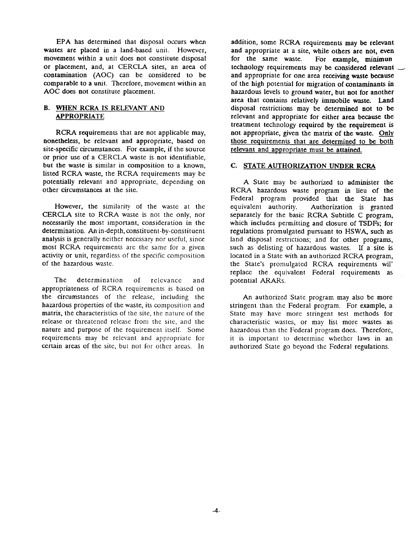EPA has determined that disposal occurs when wastes are placed in a land-based unit. However, movement within a unit does not constitute disposal or placement, and, at CERCLA sites, an area of contamination (AOC) can be considered to be comparable to a unit. Therefore, movement within an AOC does not constitute placement.

#### **B.**  WHEN RCRA IS RELEVANT AND APPROPRIATE

RCRA requirements that are not applicable may, nonetheless, be relevant and appropriate, based on site-specific circumstances. For example, if the source or prior use of a CERCLA waste is not identifiable, but the waste is similar in composition to a known, listed RCRA waste, the RCRA requirements may be potentially relevant and appropriate, depending on other circumstances at the site.

However, the similarity of the waste at the CERCLA site to RCRA waste is not the only, nor necessarily the most important, consideration in the determination. An in-depth, constituent-by-constituent analysis is generally neither necessary nor useful, since most RCRA requirements are the same for a given activity or unit, regardless of the specific composition of the hazardous waste.

The determination of relevance and appropriateness of RCRA requirements is based on the circumstances of the release, including the hazardous properties of the waste, its composition and matrix, the characteristics of the site, the nature of the release or threatened release from the site, and the nature and purpose of the requirement itself. Some requirements may be relevant and appropriate for certain areas of the site, but not for other areas. In

addition, some RCRA requirements may be relevant and appropriate at a site, while others are not, even for the same waste. For example, minimun technology requirements may be considered relevant  $\sim$ and appropriate for one area receiving waste because of the high potential for migration of contaminants in hazardous levels to ground water, but not for another area that contains relatively immobile waste. Land disposal restrictions may be determined not to be relevant and appropriate for either area because the treatment technology required by the requirement is not appropriate, given the matrix of the waste. Only those requirements that are determined to be both relevant and appropriate must be attained.

#### C. STATE AUTHORIZATION UNDER RCRA

A State may be authorized to administer the RCRA hazardous waste program in lieu of the Federal program provided that the State has equivalent authority. Authorization is granted separately for the basic RCRA Subtitle C program, which includes permitting and closure of TSDFs; for regulations promulgated pursuant to HSWA, such as land disposal restrictions; and for other programs, such as delisting of hazardous wastes. If a site is located in a State with an authorized RCRA program, the State's promulgated RCRA requirements wil' replace the equivalent Federal requirements as potential ARARs.

An authorized State program may also be more stringent than the Federal program. For example, a State may have more stringent test methods for characteristic wastes., or may list more wastes as hazardous than the Federal program does. Therefore, it is important to determine whether laws in an authorized State go beyond the Federal regulations.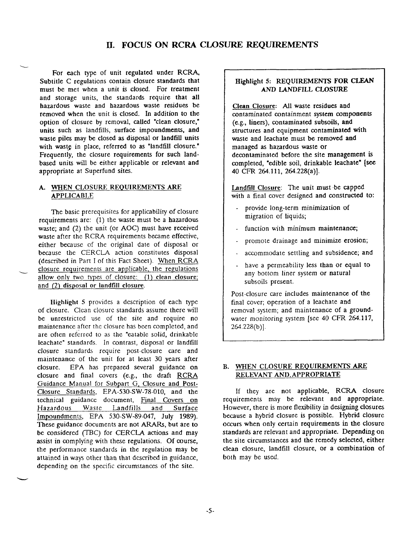## Il. FOCUS ON RCRA CLOSURE REQUIREMENTS

For each type of unit regulated under RCRA, Subtitle C regulations contain closure standards that must be met when a unit is closed. For treatment and storage units, the standards require that all hazardous waste and hazardous waste residues be removed when the unit is closed. In addition to the option of closure by removal, called "clean closure," units such as landfills, surface impoundments, and waste piles may be closed as disposal or landfill units with waste in place, referred to as "landfill closure." Frequently, the closure requirements for such landbased units will be either applicable or relewmt and appropriate at Superfund sites.

**L** 

-

#### A. WHEN CLOSURE REQUIREMENTS ARE APPLICABLE

The basic prerequisites for applicability of closure requirements are:  $(1)$  the waste must be a hazardous waste; and (2) the unit (or AOC) must have received waste after the RCRA requirements became effective, either because of the original date of disposal or beause the CERCLA action constitutes disposal (described in Part I of this Fact Sheet). When RCRA closure requirements are applicable, the regulations allow only two types of closure:  $(1)$  clean closure; and (2) disposal or landfill closure.

Highlight 5 provides a description of each type of closure. Clean closure standards assume there will be unrestricted use of the site and require no maintenance after the closure has been completed, and are often referred to as the "eatable solid, drinkable leachate" standards. In contrast, disposal or landfill closure standards require post-closure care and maintenance of the unit for at least 30 years after closure. EPA has prepared several guidance on closure and final covers (e.g., the draft RCRA Guidance Manual for Subpart G, Closure and Post-Closure Standards, EPA-53O-SW-78-O1O, and the technical guidance document, Final Covers on Hazardous Waste Landfills and Surface Impoundments, EPA 530-SW-89-047, July 1989). These guidance documents are not ARARs, but are to be considered (TBC) for CERCLA actions and may assist in complying with these regulations. Of course, the performance standards in the regulation may be attained in ways other than that described in guidance, depending on the specific circumstances of the site.

### Highlight 5: REQUIREMENTS FOR CLEAN AND LANDFILL CLOSURE

Clean Closure: All waste residues and contaminated containment system components (e.g., liners), contaminated subsoils, and structures and equipment contaminated with waste and Ieachate must be removed and managed as hazardous waste or decontaminated before the site management is completed, "edible soil, drinkable leachate" (see 40 CFR 264.111, 264.22\$(a)].

**Landfill Closure:** The unit must be capped with a final cover designed and constructed to:

- provide long-term minimization of migration of liquids;
- function with minimum maintenance;
- promote drainage and minimize erosion;
- accommodate settling and subsidence; and
- have a permeability less than or equal to any bottom liner system or natural subsoils present.

Post-closure care includes maintenance of the final cover; operation of a Ieachate and removal system; and maintenance of a groundwater monitoring system [see 40 CFR 264.117,  $264.228(b)$ ].

#### B. WHEN CLOSURE REQUIREMENTS ARE RELEVANT AND. APPROPRIATE

If they are not applicable, RCRA closure requirements may be relevant and appropriate. However, there is more flexibility in designing closures because a hybrid closure is possible. Hybrid closure occurs when only certain requirements in the closure standards are relevant and appropriate. Depending on the site circumstances and the remedy selected, either clean closure, landfill closure, or a combination of both may be used.